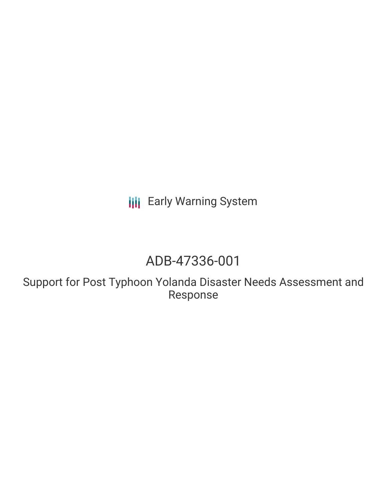**III** Early Warning System

# ADB-47336-001

Support for Post Typhoon Yolanda Disaster Needs Assessment and Response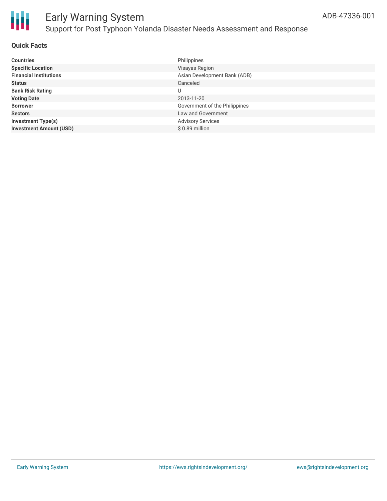

### Early Warning System Support for Post Typhoon Yolanda Disaster Needs Assessment and Response

#### **Quick Facts**

| <b>Countries</b>               | Philippines                   |
|--------------------------------|-------------------------------|
| <b>Specific Location</b>       | Visayas Region                |
| <b>Financial Institutions</b>  | Asian Development Bank (ADB)  |
| <b>Status</b>                  | Canceled                      |
| <b>Bank Risk Rating</b>        | U                             |
| <b>Voting Date</b>             | 2013-11-20                    |
| <b>Borrower</b>                | Government of the Philippines |
| <b>Sectors</b>                 | Law and Government            |
| <b>Investment Type(s)</b>      | <b>Advisory Services</b>      |
| <b>Investment Amount (USD)</b> | $$0.89$ million               |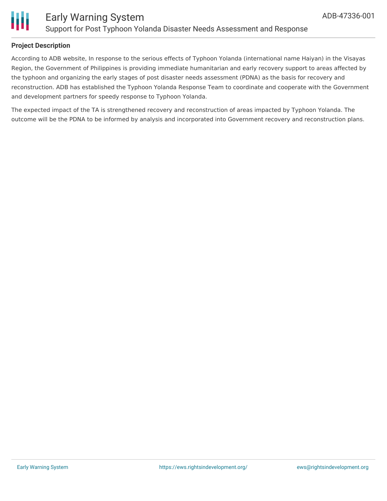

### **Project Description**

According to ADB website, In response to the serious effects of Typhoon Yolanda (international name Haiyan) in the Visayas Region, the Government of Philippines is providing immediate humanitarian and early recovery support to areas affected by the typhoon and organizing the early stages of post disaster needs assessment (PDNA) as the basis for recovery and reconstruction. ADB has established the Typhoon Yolanda Response Team to coordinate and cooperate with the Government and development partners for speedy response to Typhoon Yolanda.

The expected impact of the TA is strengthened recovery and reconstruction of areas impacted by Typhoon Yolanda. The outcome will be the PDNA to be informed by analysis and incorporated into Government recovery and reconstruction plans.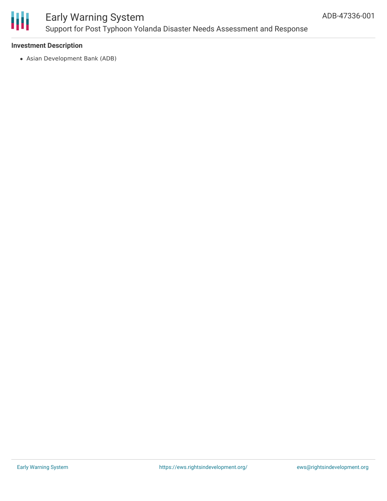

## Early Warning System Support for Post Typhoon Yolanda Disaster Needs Assessment and Response

#### **Investment Description**

Asian Development Bank (ADB)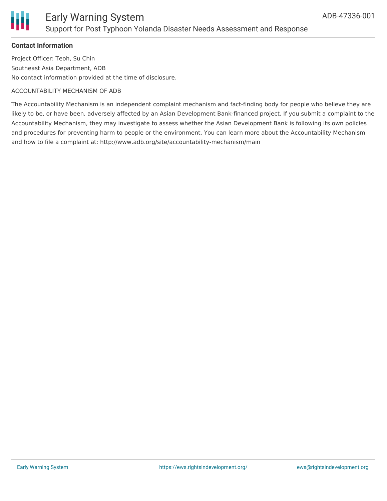

#### **Contact Information**

Project Officer: Teoh, Su Chin Southeast Asia Department, ADB No contact information provided at the time of disclosure.

#### ACCOUNTABILITY MECHANISM OF ADB

The Accountability Mechanism is an independent complaint mechanism and fact-finding body for people who believe they are likely to be, or have been, adversely affected by an Asian Development Bank-financed project. If you submit a complaint to the Accountability Mechanism, they may investigate to assess whether the Asian Development Bank is following its own policies and procedures for preventing harm to people or the environment. You can learn more about the Accountability Mechanism and how to file a complaint at: http://www.adb.org/site/accountability-mechanism/main